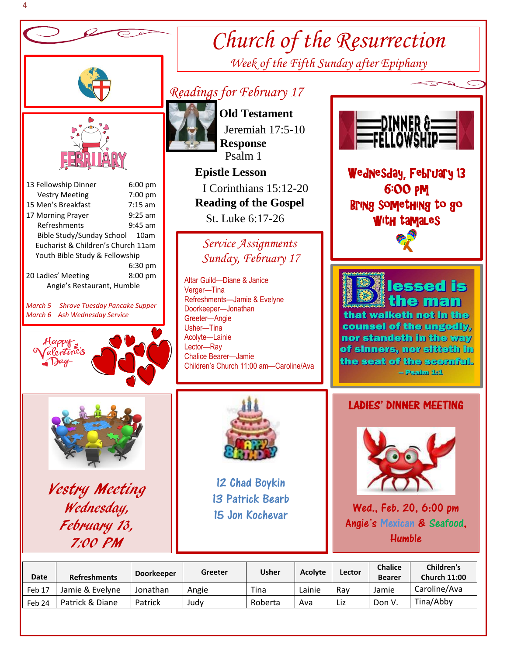

4

| Date   | <b>Refreshments</b> | <b>Doorkeeper</b> | Greeter | <b>Usher</b> | Acolyte | Lector | <b>Chalice</b><br><b>Bearer</b> | Children's<br><b>Church 11:00</b> |
|--------|---------------------|-------------------|---------|--------------|---------|--------|---------------------------------|-----------------------------------|
| Feb 17 | Jamie & Evelvne     | Jonathan          | Angie   | Tina         | Lainie  | Rav    | Jamie                           | Caroline/Ava                      |
| Feb 24 | Patrick & Diane     | Patrick           | Judv    | Roberta      | Ava     | Liz    | Don V                           | Tina/Abby                         |